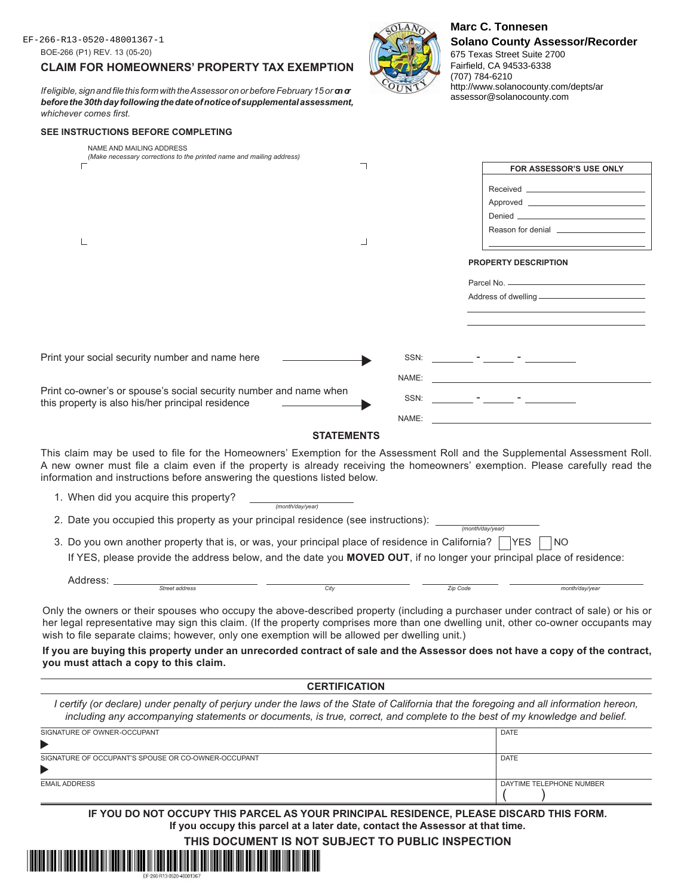# **CLAIM FOR HOMEOWNERS' PROPERTY TAX EXEMPTION**

*If eligible, sign and file this form with the Assessor on or before February 15 or*  $\sigma \sigma$ *before the 30th day following the date of notice of supplemental assessment, whichever comes first.*

## **SEE INSTRUCTIONS BEFORE COMPLETING**

| NAME AND MAILING ADDRESS<br>(Make necessary corrections to the printed name and mailing address)                                                                                                                                                                                                                                        |       |                                                                                                                                                                                                                                    |
|-----------------------------------------------------------------------------------------------------------------------------------------------------------------------------------------------------------------------------------------------------------------------------------------------------------------------------------------|-------|------------------------------------------------------------------------------------------------------------------------------------------------------------------------------------------------------------------------------------|
| ┐                                                                                                                                                                                                                                                                                                                                       |       | FOR ASSESSOR'S USE ONLY                                                                                                                                                                                                            |
|                                                                                                                                                                                                                                                                                                                                         |       |                                                                                                                                                                                                                                    |
|                                                                                                                                                                                                                                                                                                                                         |       |                                                                                                                                                                                                                                    |
|                                                                                                                                                                                                                                                                                                                                         |       | Denied <b>Denied Contract Contract Contract Contract Contract Contract Contract Contract Contract Contract Contract Contract Contract Contract Contract Contract Contract Contract Contract Contract Contract Contract Contrac</b> |
|                                                                                                                                                                                                                                                                                                                                         |       |                                                                                                                                                                                                                                    |
|                                                                                                                                                                                                                                                                                                                                         |       |                                                                                                                                                                                                                                    |
|                                                                                                                                                                                                                                                                                                                                         |       | <b>PROPERTY DESCRIPTION</b>                                                                                                                                                                                                        |
|                                                                                                                                                                                                                                                                                                                                         |       |                                                                                                                                                                                                                                    |
|                                                                                                                                                                                                                                                                                                                                         |       |                                                                                                                                                                                                                                    |
|                                                                                                                                                                                                                                                                                                                                         |       |                                                                                                                                                                                                                                    |
|                                                                                                                                                                                                                                                                                                                                         |       |                                                                                                                                                                                                                                    |
| Print your social security number and name here                                                                                                                                                                                                                                                                                         |       |                                                                                                                                                                                                                                    |
|                                                                                                                                                                                                                                                                                                                                         |       |                                                                                                                                                                                                                                    |
|                                                                                                                                                                                                                                                                                                                                         | NAME: |                                                                                                                                                                                                                                    |
| Print co-owner's or spouse's social security number and name when<br>this property is also his/her principal residence                                                                                                                                                                                                                  | SSN:  | and the state of the state of the                                                                                                                                                                                                  |
|                                                                                                                                                                                                                                                                                                                                         | NAME: |                                                                                                                                                                                                                                    |
| <b>STATEMENTS</b>                                                                                                                                                                                                                                                                                                                       |       |                                                                                                                                                                                                                                    |
| This claim may be used to file for the Homeowners' Exemption for the Assessment Roll and the Supplemental Assessment Roll.<br>A new owner must file a claim even if the property is already receiving the homeowners' exemption. Please carefully read the<br>information and instructions before answering the questions listed below. |       |                                                                                                                                                                                                                                    |
| 1. When did you acquire this property?<br>(month/day/year)                                                                                                                                                                                                                                                                              |       |                                                                                                                                                                                                                                    |
| 2. Date you occupied this property as your principal residence (see instructions): ___                                                                                                                                                                                                                                                  |       | (month/dav/vear)                                                                                                                                                                                                                   |
| 3. Do you own another property that is, or was, your principal place of residence in California?                                                                                                                                                                                                                                        |       | <b>YES</b><br>NO.                                                                                                                                                                                                                  |
| If YES, please provide the address below, and the date you MOVED OUT, if no longer your principal place of residence:                                                                                                                                                                                                                   |       |                                                                                                                                                                                                                                    |
| Address:<br>Street address<br>City                                                                                                                                                                                                                                                                                                      |       |                                                                                                                                                                                                                                    |
|                                                                                                                                                                                                                                                                                                                                         |       | Zip Code<br>month/day/year                                                                                                                                                                                                         |

675 Texas Street Suite 2700 Fairfield, CA 94533-6338

assessor@solanocounty.com

(707) 784-6210 http://www.solanocounty.com/depts/ar

Only the owners or their spouses who occupy the above-described property (including a purchaser under contract of sale) or his or her legal representative may sign this claim. (If the property comprises more than one dwelling unit, other co-owner occupants may wish to file separate claims; however, only one exemption will be allowed per dwelling unit.)

**If you are buying this property under an unrecorded contract of sale and the Assessor does not have a copy of the contract, you must attach a copy to this claim.**

#### **CERTIFICATION**

*I* certify (or declare) under penalty of perjury under the laws of the State of California that the foregoing and all information hereon, *including any accompanying statements or documents, is true, correct, and complete to the best of my knowledge and belief.*

| SIGNATURE OF OWNER-OCCUPANT                         | <b>DATE</b>              |
|-----------------------------------------------------|--------------------------|
|                                                     |                          |
| SIGNATURE OF OCCUPANT'S SPOUSE OR CO-OWNER-OCCUPANT | <b>DATE</b>              |
|                                                     |                          |
| <b>EMAIL ADDRESS</b>                                | DAYTIME TELEPHONE NUMBER |

**IF YOU DO NOT OCCUPY THIS PARCEL AS YOUR PRINCIPAL RESIDENCE, PLEASE DISCARD THIS FORM. If you occupy this parcel at a later date, contact the Assessor at that time.**

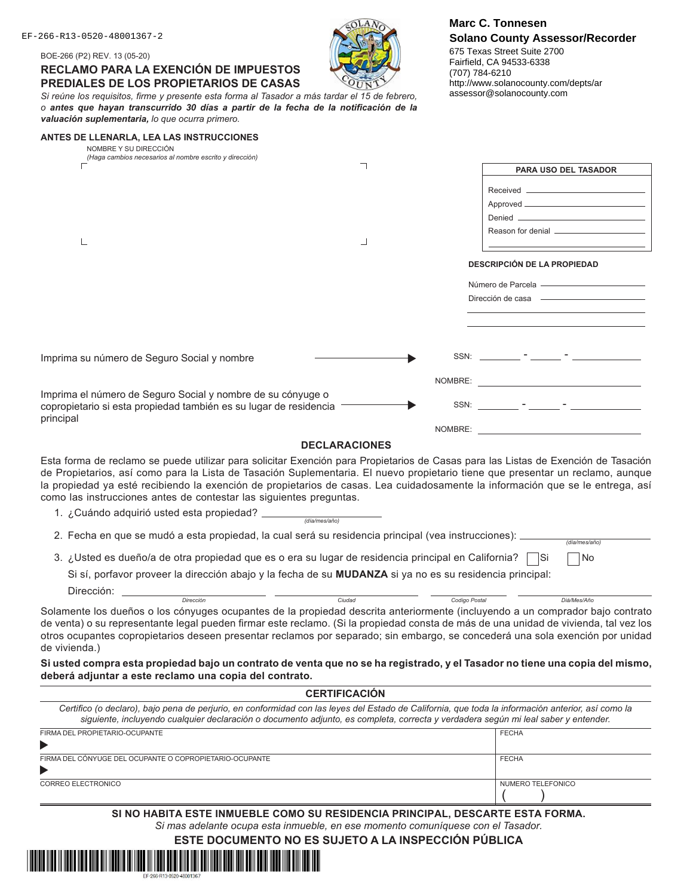BOE-266 (P2) REV. 13 (05-20)

**RECLAMO PARA LA EXENCIÓN DE IMPUESTOS PREDIALES DE LOS PROPIETARIOS DE CASAS**



EF-266-R13-0520-48001367-2<br>
EF-266-R13-0520-48001367-2 **Marc C. Tonnesen Solano County Assessor/Recorder** 675 Texas Street Suite 2700 Fairfield, CA 94533-6338 (707) 784-6210 http://www.solanocounty.com/depts/ar assessor@solanocounty.com

|                                                 |  |  |  |  |  |  |  | Si reúne los requisitos, firme y presente esta forma al Tasador a más tardar el 15 de febrero, |  |
|-------------------------------------------------|--|--|--|--|--|--|--|------------------------------------------------------------------------------------------------|--|
|                                                 |  |  |  |  |  |  |  | o antes que hayan transcurrido 30 días a partir de la fecha de la notificación de la           |  |
| valuación suplementaria, lo que ocurra primero. |  |  |  |  |  |  |  |                                                                                                |  |

| ANTES DE LLENARLA, LEA LAS INSTRUCCIONES<br>NOMBRE Y SU DIRECCIÓN                                                                                                                                                                                                                                                                                                                                                                                                             |                      |                                                  |
|-------------------------------------------------------------------------------------------------------------------------------------------------------------------------------------------------------------------------------------------------------------------------------------------------------------------------------------------------------------------------------------------------------------------------------------------------------------------------------|----------------------|--------------------------------------------------|
| (Haga cambios necesarios al nombre escrito y dirección)                                                                                                                                                                                                                                                                                                                                                                                                                       | ┑                    |                                                  |
|                                                                                                                                                                                                                                                                                                                                                                                                                                                                               |                      | PARA USO DEL TASADOR                             |
|                                                                                                                                                                                                                                                                                                                                                                                                                                                                               |                      |                                                  |
|                                                                                                                                                                                                                                                                                                                                                                                                                                                                               |                      |                                                  |
|                                                                                                                                                                                                                                                                                                                                                                                                                                                                               |                      |                                                  |
|                                                                                                                                                                                                                                                                                                                                                                                                                                                                               |                      |                                                  |
|                                                                                                                                                                                                                                                                                                                                                                                                                                                                               | ┙                    |                                                  |
|                                                                                                                                                                                                                                                                                                                                                                                                                                                                               |                      | <b>DESCRIPCIÓN DE LA PROPIEDAD</b>               |
|                                                                                                                                                                                                                                                                                                                                                                                                                                                                               |                      | Número de Parcela - Alexandre de Arte de Parcela |
|                                                                                                                                                                                                                                                                                                                                                                                                                                                                               |                      |                                                  |
|                                                                                                                                                                                                                                                                                                                                                                                                                                                                               |                      |                                                  |
|                                                                                                                                                                                                                                                                                                                                                                                                                                                                               |                      |                                                  |
|                                                                                                                                                                                                                                                                                                                                                                                                                                                                               |                      |                                                  |
| Imprima su número de Seguro Social y nombre                                                                                                                                                                                                                                                                                                                                                                                                                                   |                      |                                                  |
|                                                                                                                                                                                                                                                                                                                                                                                                                                                                               |                      |                                                  |
|                                                                                                                                                                                                                                                                                                                                                                                                                                                                               |                      |                                                  |
| Imprima el número de Seguro Social y nombre de su cónyuge o<br>copropietario si esta propiedad también es su lugar de residencia                                                                                                                                                                                                                                                                                                                                              |                      |                                                  |
| principal                                                                                                                                                                                                                                                                                                                                                                                                                                                                     |                      | NOMBRE:                                          |
|                                                                                                                                                                                                                                                                                                                                                                                                                                                                               | <b>DECLARACIONES</b> |                                                  |
| Esta forma de reclamo se puede utilizar para solicitar Exención para Propietarios de Casas para las Listas de Exención de Tasación<br>de Propietarios, así como para la Lista de Tasación Suplementaria. El nuevo propietario tiene que presentar un reclamo, aunque<br>la propiedad ya esté recibiendo la exención de propietarios de casas. Lea cuidadosamente la información que se le entrega, así<br>como las instrucciones antes de contestar las siguientes preguntas. |                      |                                                  |
|                                                                                                                                                                                                                                                                                                                                                                                                                                                                               |                      |                                                  |
|                                                                                                                                                                                                                                                                                                                                                                                                                                                                               |                      |                                                  |
| 2. Fecha en que se mudó a esta propiedad, la cual será su residencia principal (vea instrucciones):                                                                                                                                                                                                                                                                                                                                                                           |                      | (día/mes/año)                                    |
| 3. ¿Usted es dueño/a de otra propiedad que es o era su lugar de residencia principal en California?                                                                                                                                                                                                                                                                                                                                                                           |                      | No<br>⊟ Si                                       |
| Si sí, porfavor proveer la dirección abajo y la fecha de su MUDANZA si ya no es su residencia principal:                                                                                                                                                                                                                                                                                                                                                                      |                      |                                                  |
| Dirección:                                                                                                                                                                                                                                                                                                                                                                                                                                                                    |                      |                                                  |
| <b>Dirección</b>                                                                                                                                                                                                                                                                                                                                                                                                                                                              | Ciudad               | Codigo Postal<br>Diá/Mes/Año                     |
| Solamente los dueños o los cónyuges ocupantes de la propiedad descrita anteriormente (incluyendo a un comprador bajo contrato<br>de venta) o su representante legal pueden firmar este reclamo. (Si la propiedad consta de más de una unidad de vivienda, tal vez los<br>otros ocupantes copropietarios deseen presentar reclamos por separado; sin embargo, se concederá una sola exención por unidad<br>de vivienda.)                                                       |                      |                                                  |
| Si usted compra esta propiedad bajo un contrato de venta que no se ha registrado, y el Tasador no tiene una copia del mismo,<br>deberá adjuntar a este reclamo una copia del contrato.                                                                                                                                                                                                                                                                                        |                      |                                                  |
|                                                                                                                                                                                                                                                                                                                                                                                                                                                                               | <b>CERTIFICACIÓN</b> |                                                  |
| Certifico (o declaro), bajo pena de perjurio, en conformidad con las leyes del Estado de California, que toda la información anterior, así como la<br>siguiente, incluyendo cualquier declaración o documento adjunto, es completa, correcta y verdadera según mi leal saber y entender.                                                                                                                                                                                      |                      |                                                  |
| FIRMA DEL PROPIETARIO-OCUPANTE                                                                                                                                                                                                                                                                                                                                                                                                                                                |                      | <b>FECHA</b>                                     |

| ▶                                                       |                   |
|---------------------------------------------------------|-------------------|
| FIRMA DEL CÓNYUGE DEL OCUPANTE O COPROPIETARIO-OCUPANTE | <b>FECHA</b>      |
| ▶                                                       |                   |
| CORREO ELECTRONICO                                      | NUMERO TELEFONICO |
|                                                         |                   |

**SI NO HABITA ESTE INMUEBLE COMO SU RESIDENCIA PRINCIPAL, DESCARTE ESTA FORMA.** *Si mas adelante ocupa esta inmueble, en ese momento comuníquese con el Tasador.*

**ESTE DOCUMENTO NO ES SUJETO A LA INSPECCIÓN PÚBLICA**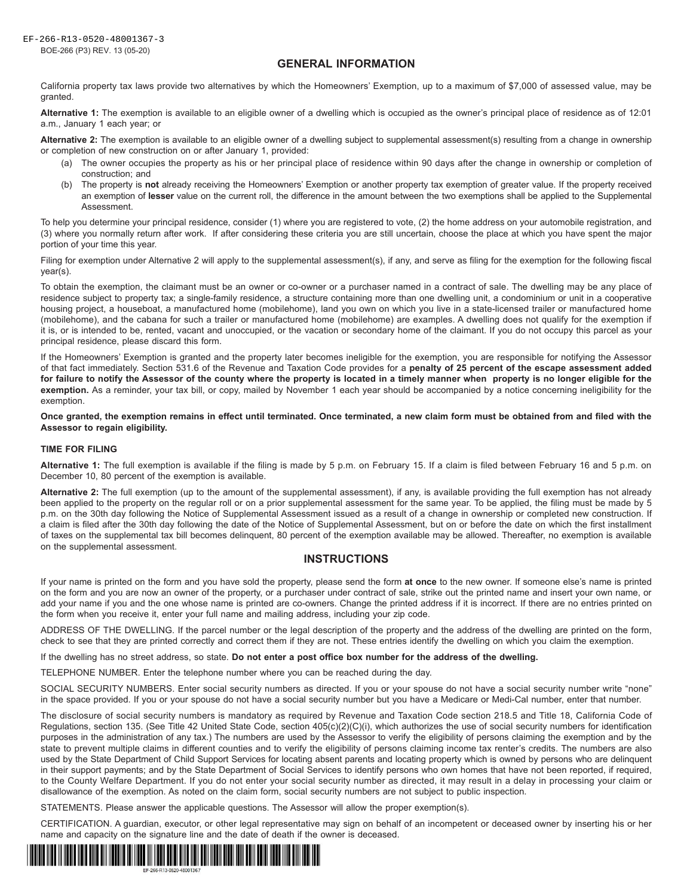## **GENERAL INFORMATION**

California property tax laws provide two alternatives by which the Homeowners' Exemption, up to a maximum of \$7,000 of assessed value, may be granted.

**Alternative 1:** The exemption is available to an eligible owner of a dwelling which is occupied as the owner's principal place of residence as of 12:01 a.m., January 1 each year; or

**Alternative 2:** The exemption is available to an eligible owner of a dwelling subject to supplemental assessment(s) resulting from a change in ownership or completion of new construction on or after January 1, provided:

- (a) The owner occupies the property as his or her principal place of residence within 90 days after the change in ownership or completion of construction; and
- (b) The property is **not** already receiving the Homeowners' Exemption or another property tax exemption of greater value. If the property received an exemption of **lesser** value on the current roll, the difference in the amount between the two exemptions shall be applied to the Supplemental Assessment.

To help you determine your principal residence, consider (1) where you are registered to vote, (2) the home address on your automobile registration, and (3) where you normally return after work. If after considering these criteria you are still uncertain, choose the place at which you have spent the major portion of your time this year.

Filing for exemption under Alternative 2 will apply to the supplemental assessment(s), if any, and serve as filing for the exemption for the following fiscal year(s).

To obtain the exemption, the claimant must be an owner or co-owner or a purchaser named in a contract of sale. The dwelling may be any place of residence subject to property tax; a single-family residence, a structure containing more than one dwelling unit, a condominium or unit in a cooperative housing project, a houseboat, a manufactured home (mobilehome), land you own on which you live in a state-licensed trailer or manufactured home (mobilehome), and the cabana for such a trailer or manufactured home (mobilehome) are examples. A dwelling does not qualify for the exemption if it is, or is intended to be, rented, vacant and unoccupied, or the vacation or secondary home of the claimant. If you do not occupy this parcel as your principal residence, please discard this form.

If the Homeowners' Exemption is granted and the property later becomes ineligible for the exemption, you are responsible for notifying the Assessor of that fact immediately. Section 531.6 of the Revenue and Taxation Code provides for a **penalty of 25 percent of the escape assessment added for failure to notify the Assessor of the county where the property is located in a timely manner when property is no longer eligible for the exemption.** As a reminder, your tax bill, or copy, mailed by November 1 each year should be accompanied by a notice concerning ineligibility for the exemption.

#### **Once granted, the exemption remains in effect until terminated. Once terminated, a new claim form must be obtained from and filed with the Assessor to regain eligibility.**

### **TIME FOR FILING**

**Alternative 1:** The full exemption is available if the filing is made by 5 p.m. on February 15. If a claim is filed between February 16 and 5 p.m. on December 10, 80 percent of the exemption is available.

**Alternative 2:** The full exemption (up to the amount of the supplemental assessment), if any, is available providing the full exemption has not already been applied to the property on the regular roll or on a prior supplemental assessment for the same year. To be applied, the filing must be made by 5 p.m. on the 30th day following the Notice of Supplemental Assessment issued as a result of a change in ownership or completed new construction. If a claim is filed after the 30th day following the date of the Notice of Supplemental Assessment, but on or before the date on which the first installment of taxes on the supplemental tax bill becomes delinquent, 80 percent of the exemption available may be allowed. Thereafter, no exemption is available on the supplemental assessment.

## **INSTRUCTIONS**

If your name is printed on the form and you have sold the property, please send the form **at once** to the new owner. If someone else's name is printed on the form and you are now an owner of the property, or a purchaser under contract of sale, strike out the printed name and insert your own name, or add your name if you and the one whose name is printed are co-owners. Change the printed address if it is incorrect. If there are no entries printed on the form when you receive it, enter your full name and mailing address, including your zip code.

ADDRESS OF THE DWELLING. If the parcel number or the legal description of the property and the address of the dwelling are printed on the form, check to see that they are printed correctly and correct them if they are not. These entries identify the dwelling on which you claim the exemption.

If the dwelling has no street address, so state. **Do not enter a post office box number for the address of the dwelling.**

TELEPHONE NUMBER. Enter the telephone number where you can be reached during the day.

SOCIAL SECURITY NUMBERS. Enter social security numbers as directed. If you or your spouse do not have a social security number write "none" in the space provided. If you or your spouse do not have a social security number but you have a Medicare or Medi-Cal number, enter that number.

The disclosure of social security numbers is mandatory as required by Revenue and Taxation Code section 218.5 and Title 18, California Code of Regulations, section 135. (See Title 42 United State Code, section 405(c)(2)(C)(i), which authorizes the use of social security numbers for identification purposes in the administration of any tax.) The numbers are used by the Assessor to verify the eligibility of persons claiming the exemption and by the state to prevent multiple claims in different counties and to verify the eligibility of persons claiming income tax renter's credits. The numbers are also used by the State Department of Child Support Services for locating absent parents and locating property which is owned by persons who are delinquent in their support payments; and by the State Department of Social Services to identify persons who own homes that have not been reported, if required, to the County Welfare Department. If you do not enter your social security number as directed, it may result in a delay in processing your claim or disallowance of the exemption. As noted on the claim form, social security numbers are not subject to public inspection.

STATEMENTS. Please answer the applicable questions. The Assessor will allow the proper exemption(s).

CERTIFICATION. A guardian, executor, or other legal representative may sign on behalf of an incompetent or deceased owner by inserting his or her name and capacity on the signature line and the date of death if the owner is deceased.